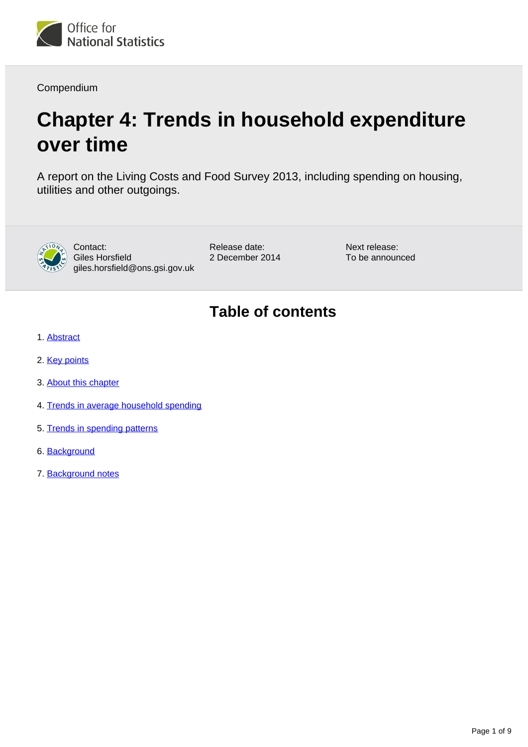

Compendium

# **Chapter 4: Trends in household expenditure over time**

A report on the Living Costs and Food Survey 2013, including spending on housing, utilities and other outgoings.



Contact: Giles Horsfield giles.horsfield@ons.gsi.gov.uk Release date: 2 December 2014 Next release: To be announced

### **Table of contents**

- 1. [Abstract](#page-1-0)
- 2. [Key points](#page-1-1)
- 3. [About this chapter](#page-1-2)
- 4. [Trends in average household spending](#page-1-3)
- 5. [Trends in spending patterns](#page-3-0)
- 6. [Background](#page-6-0)
- 7. Background notes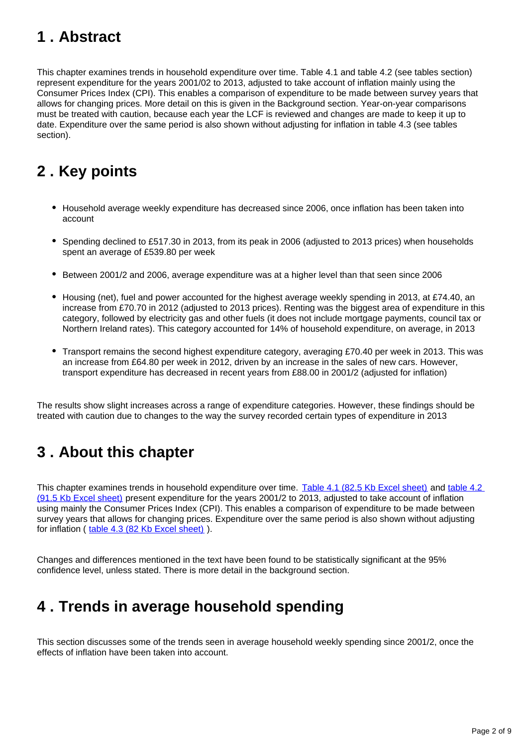# <span id="page-1-0"></span>**1 . Abstract**

This chapter examines trends in household expenditure over time. Table 4.1 and table 4.2 (see tables section) represent expenditure for the years 2001/02 to 2013, adjusted to take account of inflation mainly using the Consumer Prices Index (CPI). This enables a comparison of expenditure to be made between survey years that allows for changing prices. More detail on this is given in the Background section. Year-on-year comparisons must be treated with caution, because each year the LCF is reviewed and changes are made to keep it up to date. Expenditure over the same period is also shown without adjusting for inflation in table 4.3 (see tables section).

# <span id="page-1-1"></span>**2 . Key points**

- Household average weekly expenditure has decreased since 2006, once inflation has been taken into account
- Spending declined to £517.30 in 2013, from its peak in 2006 (adjusted to 2013 prices) when households spent an average of £539.80 per week
- **Between 2001/2 and 2006, average expenditure was at a higher level than that seen since 2006**
- Housing (net), fuel and power accounted for the highest average weekly spending in 2013, at £74.40, an increase from £70.70 in 2012 (adjusted to 2013 prices). Renting was the biggest area of expenditure in this category, followed by electricity gas and other fuels (it does not include mortgage payments, council tax or Northern Ireland rates). This category accounted for 14% of household expenditure, on average, in 2013
- Transport remains the second highest expenditure category, averaging £70.40 per week in 2013. This was an increase from £64.80 per week in 2012, driven by an increase in the sales of new cars. However, transport expenditure has decreased in recent years from £88.00 in 2001/2 (adjusted for inflation)

The results show slight increases across a range of expenditure categories. However, these findings should be treated with caution due to changes to the way the survey recorded certain types of expenditure in 2013

# <span id="page-1-2"></span>**3 . About this chapter**

This chapter examines trends in household expenditure over time. [Table 4.1 \(82.5 Kb Excel sheet\)](http://www.ons.gov.uk/ons/rel/family-spending/family-spending/2014-edition/rft-4-1-final-2013.xls) and table 4.2 [\(91.5 Kb Excel sheet\)](http://www.ons.gov.uk/ons/rel/family-spending/family-spending/2014-edition/rft-4-2-final-2013.xls) present expenditure for the years 2001/2 to 2013, adjusted to take account of inflation using mainly the Consumer Prices Index (CPI). This enables a comparison of expenditure to be made between survey years that allows for changing prices. Expenditure over the same period is also shown without adjusting for inflation ( [table 4.3 \(82 Kb Excel sheet\)](http://www.ons.gov.uk/ons/rel/family-spending/family-spending/2014-edition/rft-4-3-final-2013.xls) ).

Changes and differences mentioned in the text have been found to be statistically significant at the 95% confidence level, unless stated. There is more detail in the background section.

# <span id="page-1-3"></span>**4 . Trends in average household spending**

This section discusses some of the trends seen in average household weekly spending since 2001/2, once the effects of inflation have been taken into account.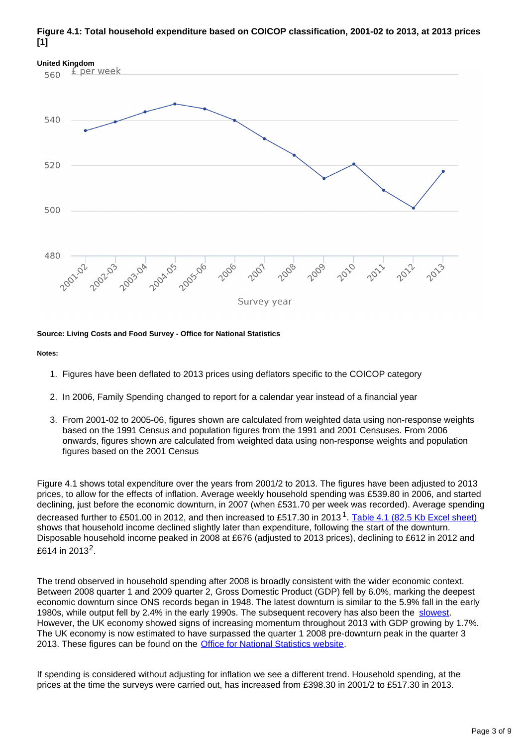### **Figure 4.1: Total household expenditure based on COICOP classification, 2001-02 to 2013, at 2013 prices [1]**



### **Source: Living Costs and Food Survey - Office for National Statistics**

### **Notes:**

- 1. Figures have been deflated to 2013 prices using deflators specific to the COICOP category
- 2. In 2006, Family Spending changed to report for a calendar year instead of a financial year
- 3. From 2001-02 to 2005-06, figures shown are calculated from weighted data using non-response weights based on the 1991 Census and population figures from the 1991 and 2001 Censuses. From 2006 onwards, figures shown are calculated from weighted data using non-response weights and population figures based on the 2001 Census

Figure 4.1 shows total expenditure over the years from 2001/2 to 2013. The figures have been adjusted to 2013 prices, to allow for the effects of inflation. Average weekly household spending was £539.80 in 2006, and started declining, just before the economic downturn, in 2007 (when £531.70 per week was recorded). Average spending decreased further to £501.00 in 2012, and then increased to £517.30 in 2013<sup>1</sup>. [Table 4.1 \(82.5 Kb Excel sheet\)](http://www.ons.gov.uk/ons/rel/family-spending/family-spending/2014-edition/rft-4-1-final-2013.xls) shows that household income declined slightly later than expenditure, following the start of the downturn. Disposable household income peaked in 2008 at £676 (adjusted to 2013 prices), declining to £612 in 2012 and £614 in 2013<sup>2</sup>.

The trend observed in household spending after 2008 is broadly consistent with the wider economic context. Between 2008 quarter 1 and 2009 quarter 2, Gross Domestic Product (GDP) fell by 6.0%, marking the deepest economic downturn since ONS records began in 1948. The latest downturn is similar to the 5.9% fall in the early 1980s, while output fell by 2.4% in the early 1990s. The subsequent recovery has also been the [slowest.](http://www.ons.gov.uk/ons/rel/elmr/economic-review/september-2014/art-er-sept.html) However, the UK economy showed signs of increasing momentum throughout 2013 with GDP growing by 1.7%. The UK economy is now estimated to have surpassed the quarter 1 2008 pre-downturn peak in the quarter 3 2013. These figures can be found on the **Office for National Statistics website**.

If spending is considered without adjusting for inflation we see a different trend. Household spending, at the prices at the time the surveys were carried out, has increased from £398.30 in 2001/2 to £517.30 in 2013.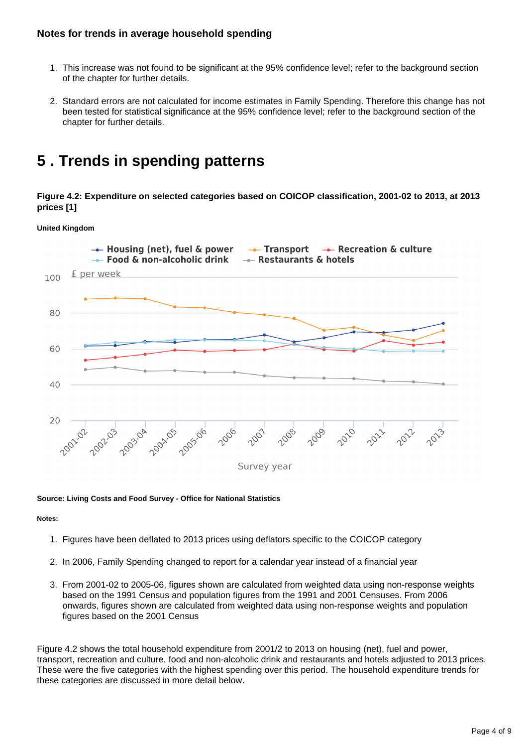### **Notes for trends in average household spending**

- 1. This increase was not found to be significant at the 95% confidence level; refer to the background section of the chapter for further details.
- 2. Standard errors are not calculated for income estimates in Family Spending. Therefore this change has not been tested for statistical significance at the 95% confidence level; refer to the background section of the chapter for further details.

### <span id="page-3-0"></span>**5 . Trends in spending patterns**

**Figure 4.2: Expenditure on selected categories based on COICOP classification, 2001-02 to 2013, at 2013 prices [1]**

**United Kingdom**



### **Source: Living Costs and Food Survey - Office for National Statistics**

#### **Notes:**

- 1. Figures have been deflated to 2013 prices using deflators specific to the COICOP category
- 2. In 2006, Family Spending changed to report for a calendar year instead of a financial year
- 3. From 2001-02 to 2005-06, figures shown are calculated from weighted data using non-response weights based on the 1991 Census and population figures from the 1991 and 2001 Censuses. From 2006 onwards, figures shown are calculated from weighted data using non-response weights and population figures based on the 2001 Census

Figure 4.2 shows the total household expenditure from 2001/2 to 2013 on housing (net), fuel and power, transport, recreation and culture, food and non-alcoholic drink and restaurants and hotels adjusted to 2013 prices. These were the five categories with the highest spending over this period. The household expenditure trends for these categories are discussed in more detail below.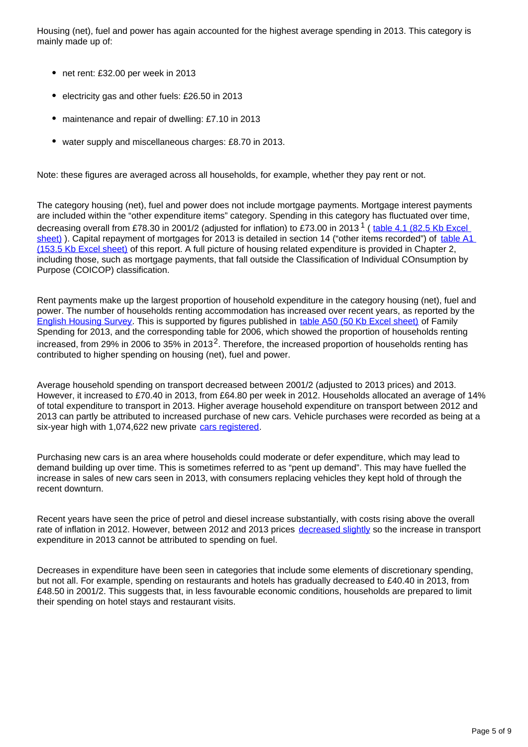Housing (net), fuel and power has again accounted for the highest average spending in 2013. This category is mainly made up of:

- net rent: £32.00 per week in 2013
- electricity gas and other fuels: £26.50 in 2013
- maintenance and repair of dwelling: £7.10 in 2013
- water supply and miscellaneous charges: £8.70 in 2013.

Note: these figures are averaged across all households, for example, whether they pay rent or not.

The category housing (net), fuel and power does not include mortgage payments. Mortgage interest payments are included within the "other expenditure items" category. Spending in this category has fluctuated over time, decreasing overall from £78.30 in 2001/2 (adjusted for inflation) to £73.00 in 2013 <sup>1</sup> ( table 4.1 (82.5 Kb Excel [sheet\)](http://www.ons.gov.uk/ons/rel/family-spending/family-spending/2014-edition/rft-4-1-final-2013.xls) ). Capital repayment of mortgages for 2013 is detailed in section 14 ("other items recorded") of [table A1](http://www.ons.gov.uk/ons/rel/family-spending/family-spending/2014-edition/rft-table-a1.xls)  [\(153.5 Kb Excel sheet\)](http://www.ons.gov.uk/ons/rel/family-spending/family-spending/2014-edition/rft-table-a1.xls) of this report. A full picture of housing related expenditure is provided in Chapter 2, including those, such as mortgage payments, that fall outside the Classification of Individual COnsumption by Purpose (COICOP) classification.

Rent payments make up the largest proportion of household expenditure in the category housing (net), fuel and power. The number of households renting accommodation has increased over recent years, as reported by the [English Housing Survey](https://www.gov.uk/government/uploads/system/uploads/attachment_data/file/284648/English_Housing_Survey_Headline_Report_2012-13.pdf). This is supported by figures published in [table A50 \(50 Kb Excel sheet\)](http://www.ons.gov.uk/ons/rel/family-spending/family-spending/2014-edition/rft-a50-final-2013.xls) of Family Spending for 2013, and the corresponding table for 2006, which showed the proportion of households renting increased, from 29% in 2006 to 35% in 2013<sup>2</sup>. Therefore, the increased proportion of households renting has contributed to higher spending on housing (net), fuel and power.

Average household spending on transport decreased between 2001/2 (adjusted to 2013 prices) and 2013. However, it increased to £70.40 in 2013, from £64.80 per week in 2012. Households allocated an average of 14% of total expenditure to transport in 2013. Higher average household expenditure on transport between 2012 and 2013 can partly be attributed to increased purchase of new cars. Vehicle purchases were recorded as being at a six-year high with 1,074,622 new private [cars registered](http://www.smmt.co.uk/2014/01/2013-new-car-market-records-best-performance-five-years).

Purchasing new cars is an area where households could moderate or defer expenditure, which may lead to demand building up over time. This is sometimes referred to as "pent up demand". This may have fuelled the increase in sales of new cars seen in 2013, with consumers replacing vehicles they kept hold of through the recent downturn.

Recent years have seen the price of petrol and diesel increase substantially, with costs rising above the overall rate of inflation in 2012. However, between 2012 and 2013 prices [decreased slightly](https://www.gov.uk/government/statistical-data-sets/oil-and-petroleum-products-monthly-statistics) so the increase in transport expenditure in 2013 cannot be attributed to spending on fuel.

Decreases in expenditure have been seen in categories that include some elements of discretionary spending, but not all. For example, spending on restaurants and hotels has gradually decreased to £40.40 in 2013, from £48.50 in 2001/2. This suggests that, in less favourable economic conditions, households are prepared to limit their spending on hotel stays and restaurant visits.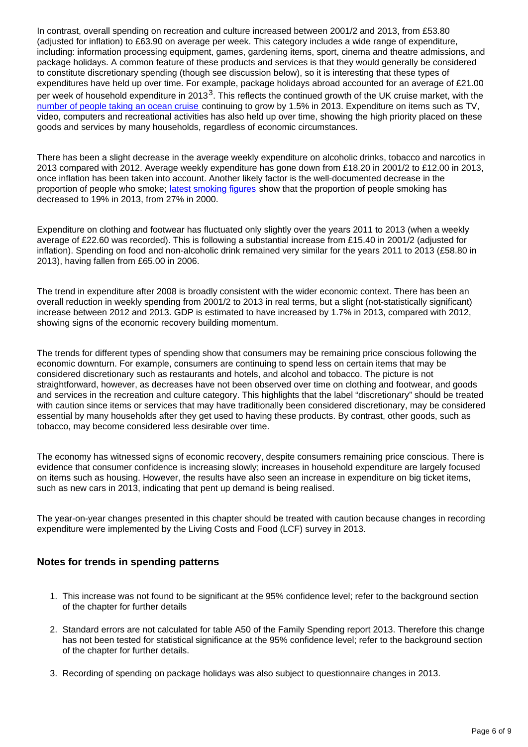In contrast, overall spending on recreation and culture increased between 2001/2 and 2013, from £53.80 (adjusted for inflation) to £63.90 on average per week. This category includes a wide range of expenditure, including: information processing equipment, games, gardening items, sport, cinema and theatre admissions, and package holidays. A common feature of these products and services is that they would generally be considered to constitute discretionary spending (though see discussion below), so it is interesting that these types of expenditures have held up over time. For example, package holidays abroad accounted for an average of £21.00 per week of household expenditure in 2013<sup>3</sup>. This reflects the continued growth of the UK cruise market, with the [number of people taking an ocean cruise](http://www.cruiseexperts.org/media/700262/ocean_cruise_figures_2013.pdf) continuing to grow by 1.5% in 2013. Expenditure on items such as TV, video, computers and recreational activities has also held up over time, showing the high priority placed on these goods and services by many households, regardless of economic circumstances.

There has been a slight decrease in the average weekly expenditure on alcoholic drinks, tobacco and narcotics in 2013 compared with 2012. Average weekly expenditure has gone down from £18.20 in 2001/2 to £12.00 in 2013, once inflation has been taken into account. Another likely factor is the well-documented decrease in the proportion of people who smoke; [latest smoking figures](http://www.ons.gov.uk/ons/rel/ghs/opinions-and-lifestyle-survey/adult-smoking-habits-in-great-britain--2013/index.html) show that the proportion of people smoking has decreased to 19% in 2013, from 27% in 2000.

Expenditure on clothing and footwear has fluctuated only slightly over the years 2011 to 2013 (when a weekly average of £22.60 was recorded). This is following a substantial increase from £15.40 in 2001/2 (adjusted for inflation). Spending on food and non-alcoholic drink remained very similar for the years 2011 to 2013 (£58.80 in 2013), having fallen from £65.00 in 2006.

The trend in expenditure after 2008 is broadly consistent with the wider economic context. There has been an overall reduction in weekly spending from 2001/2 to 2013 in real terms, but a slight (not-statistically significant) increase between 2012 and 2013. GDP is estimated to have increased by 1.7% in 2013, compared with 2012, showing signs of the economic recovery building momentum.

The trends for different types of spending show that consumers may be remaining price conscious following the economic downturn. For example, consumers are continuing to spend less on certain items that may be considered discretionary such as restaurants and hotels, and alcohol and tobacco. The picture is not straightforward, however, as decreases have not been observed over time on clothing and footwear, and goods and services in the recreation and culture category. This highlights that the label "discretionary" should be treated with caution since items or services that may have traditionally been considered discretionary, may be considered essential by many households after they get used to having these products. By contrast, other goods, such as tobacco, may become considered less desirable over time.

The economy has witnessed signs of economic recovery, despite consumers remaining price conscious. There is evidence that consumer confidence is increasing slowly; increases in household expenditure are largely focused on items such as housing. However, the results have also seen an increase in expenditure on big ticket items, such as new cars in 2013, indicating that pent up demand is being realised.

The year-on-year changes presented in this chapter should be treated with caution because changes in recording expenditure were implemented by the Living Costs and Food (LCF) survey in 2013.

### **Notes for trends in spending patterns**

- 1. This increase was not found to be significant at the 95% confidence level; refer to the background section of the chapter for further details
- 2. Standard errors are not calculated for table A50 of the Family Spending report 2013. Therefore this change has not been tested for statistical significance at the 95% confidence level; refer to the background section of the chapter for further details.
- 3. Recording of spending on package holidays was also subject to questionnaire changes in 2013.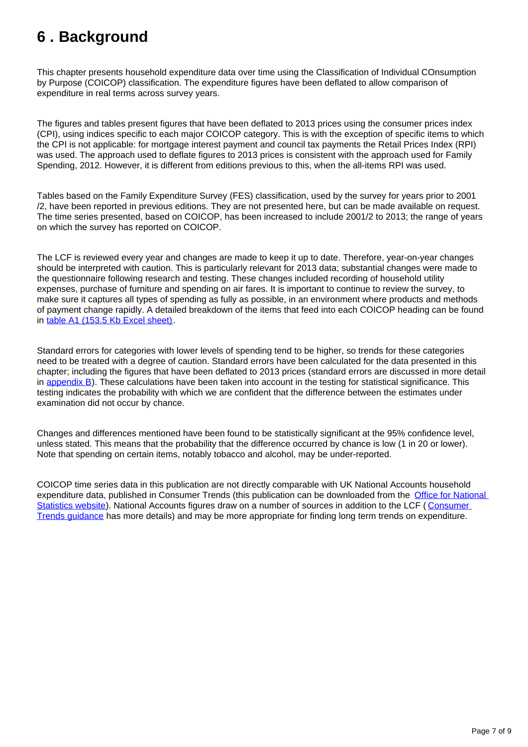# <span id="page-6-0"></span>**6 . Background**

This chapter presents household expenditure data over time using the Classification of Individual COnsumption by Purpose (COICOP) classification. The expenditure figures have been deflated to allow comparison of expenditure in real terms across survey years.

The figures and tables present figures that have been deflated to 2013 prices using the consumer prices index (CPI), using indices specific to each major COICOP category. This is with the exception of specific items to which the CPI is not applicable: for mortgage interest payment and council tax payments the Retail Prices Index (RPI) was used. The approach used to deflate figures to 2013 prices is consistent with the approach used for Family Spending, 2012. However, it is different from editions previous to this, when the all-items RPI was used.

Tables based on the Family Expenditure Survey (FES) classification, used by the survey for years prior to 2001 /2, have been reported in previous editions. They are not presented here, but can be made available on request. The time series presented, based on COICOP, has been increased to include 2001/2 to 2013; the range of years on which the survey has reported on COICOP.

The LCF is reviewed every year and changes are made to keep it up to date. Therefore, year-on-year changes should be interpreted with caution. This is particularly relevant for 2013 data; substantial changes were made to the questionnaire following research and testing. These changes included recording of household utility expenses, purchase of furniture and spending on air fares. It is important to continue to review the survey, to make sure it captures all types of spending as fully as possible, in an environment where products and methods of payment change rapidly. A detailed breakdown of the items that feed into each COICOP heading can be found in [table A1 \(153.5 Kb Excel sheet\)](http://www.ons.gov.uk/ons/rel/family-spending/family-spending/2014-edition/rft-table-a1.xls).

Standard errors for categories with lower levels of spending tend to be higher, so trends for these categories need to be treated with a degree of caution. Standard errors have been calculated for the data presented in this chapter; including the figures that have been deflated to 2013 prices (standard errors are discussed in more detail in appendix  $B$ ). These calculations have been taken into account in the testing for statistical significance. This testing indicates the probability with which we are confident that the difference between the estimates under examination did not occur by chance.

Changes and differences mentioned have been found to be statistically significant at the 95% confidence level, unless stated. This means that the probability that the difference occurred by chance is low (1 in 20 or lower). Note that spending on certain items, notably tobacco and alcohol, may be under-reported.

COICOP time series data in this publication are not directly comparable with UK National Accounts household expenditure data, published in Consumer Trends (this publication can be downloaded from the [Office for National](http://www.ons.gov.uk/ons/rel/consumer-trends/consumer-trends/index.html)  [Statistics website](http://www.ons.gov.uk/ons/rel/consumer-trends/consumer-trends/index.html)). National Accounts figures draw on a number of sources in addition to the LCF (Consumer [Trends guidance](http://www.ons.gov.uk/ons/guide-method/method-quality/specific/economy/consumer-trends/index.html) has more details) and may be more appropriate for finding long term trends on expenditure.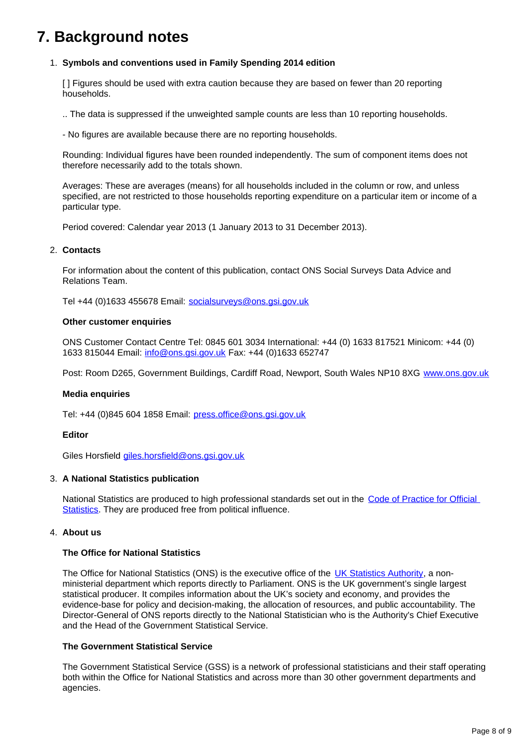### **7. Background notes**

### 1. **Symbols and conventions used in Family Spending 2014 edition**

[ ] Figures should be used with extra caution because they are based on fewer than 20 reporting households.

.. The data is suppressed if the unweighted sample counts are less than 10 reporting households.

- No figures are available because there are no reporting households.

Rounding: Individual figures have been rounded independently. The sum of component items does not therefore necessarily add to the totals shown.

Averages: These are averages (means) for all households included in the column or row, and unless specified, are not restricted to those households reporting expenditure on a particular item or income of a particular type.

Period covered: Calendar year 2013 (1 January 2013 to 31 December 2013).

### 2. **Contacts**

For information about the content of this publication, contact ONS Social Surveys Data Advice and Relations Team.

Tel +44 (0)1633 455678 Email: socialsurveys@ons.gsi.gov.uk

#### **Other customer enquiries**

ONS Customer Contact Centre Tel: 0845 601 3034 International: +44 (0) 1633 817521 Minicom: +44 (0) 1633 815044 Email: info@ons.gsi.gov.uk Fax: +44 (0)1633 652747

Post: Room D265, Government Buildings, Cardiff Road, Newport, South Wales NP10 8XG [www.ons.gov.uk](http://www.ons.gov.uk/)

### **Media enquiries**

Tel: +44 (0)845 604 1858 Email: press.office@ons.gsi.gov.uk

#### **Editor**

Giles Horsfield giles.horsfield@ons.gsi.gov.uk

### 3. **A National Statistics publication**

National Statistics are produced to high professional standards set out in the Code of Practice for Official [Statistics](http://www.ons.gov.uk/ons/guide-method/the-national-statistics-standard/code-of-practice/index.html)</u>. They are produced free from political influence.

### 4. **About us**

### **The Office for National Statistics**

The Office for National Statistics (ONS) is the executive office of the [UK Statistics Authority,](http://www.ons.gov.uk/ons/external-links/stats-authority/statistics-authority-s-website.html) a nonministerial department which reports directly to Parliament. ONS is the UK government's single largest statistical producer. It compiles information about the UK's society and economy, and provides the evidence-base for policy and decision-making, the allocation of resources, and public accountability. The Director-General of ONS reports directly to the National Statistician who is the Authority's Chief Executive and the Head of the Government Statistical Service.

### **The Government Statistical Service**

The Government Statistical Service (GSS) is a network of professional statisticians and their staff operating both within the Office for National Statistics and across more than 30 other government departments and agencies.